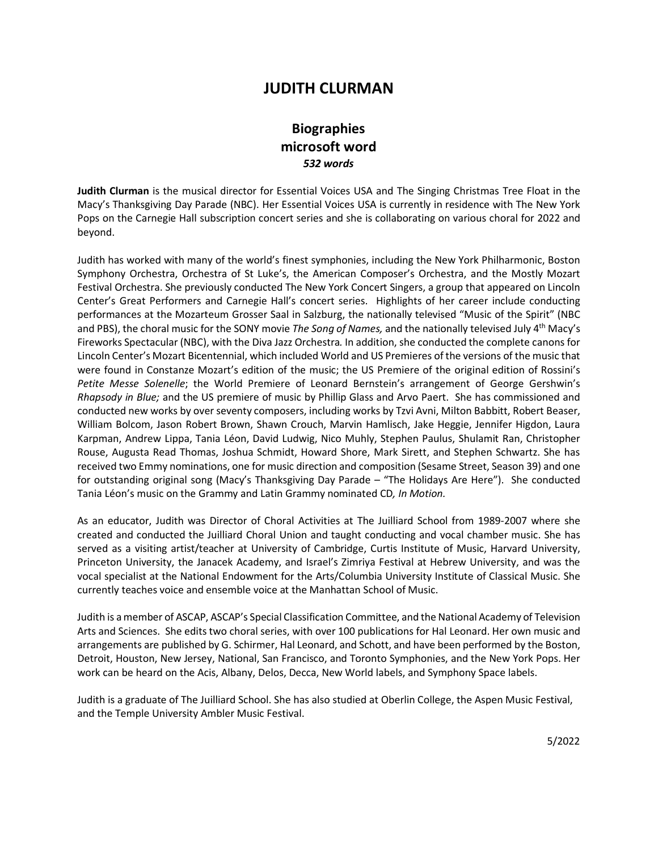# **JUDITH CLURMAN**

# **Biographies microsoft word** *532 words*

**Judith Clurman** is the musical director for Essential Voices USA and The Singing Christmas Tree Float in the Macy's Thanksgiving Day Parade (NBC). Her Essential Voices USA is currently in residence with The New York Pops on the Carnegie Hall subscription concert series and she is collaborating on various choral for 2022 and beyond.

Judith has worked with many of the world's finest symphonies, including the New York Philharmonic, Boston Symphony Orchestra, Orchestra of St Luke's, the American Composer's Orchestra, and the Mostly Mozart Festival Orchestra. She previously conducted The New York Concert Singers, a group that appeared on Lincoln Center's Great Performers and Carnegie Hall's concert series. Highlights of her career include conducting performances at the Mozarteum Grosser Saal in Salzburg, the nationally televised "Music of the Spirit" (NBC and PBS), the choral music for the SONY movie *The Song of Names,* and the nationally televised July 4th Macy's Fireworks Spectacular (NBC), with the Diva Jazz Orchestra*.* In addition, she conducted the complete canons for Lincoln Center's Mozart Bicentennial, which included World and US Premieres of the versions of the music that were found in Constanze Mozart's edition of the music; the US Premiere of the original edition of Rossini's *Petite Messe Solenelle*; the World Premiere of Leonard Bernstein's arrangement of George Gershwin's *Rhapsody in Blue;* and the US premiere of music by Phillip Glass and Arvo Paert. She has commissioned and conducted new works by over seventy composers, including works by Tzvi Avni, Milton Babbitt, Robert Beaser, William Bolcom, Jason Robert Brown, Shawn Crouch, Marvin Hamlisch, Jake Heggie, Jennifer Higdon, Laura Karpman, Andrew Lippa, Tania Léon, David Ludwig, Nico Muhly, Stephen Paulus, Shulamit Ran, Christopher Rouse, Augusta Read Thomas, Joshua Schmidt, Howard Shore, Mark Sirett, and Stephen Schwartz. She has received two Emmy nominations, one for music direction and composition (Sesame Street, Season 39) and one for outstanding original song (Macy's Thanksgiving Day Parade – "The Holidays Are Here"). She conducted Tania Léon's music on the Grammy and Latin Grammy nominated CD*, In Motion.*

As an educator, Judith was Director of Choral Activities at The Juilliard School from 1989-2007 where she created and conducted the Juilliard Choral Union and taught conducting and vocal chamber music. She has served as a visiting artist/teacher at University of Cambridge, Curtis Institute of Music, Harvard University, Princeton University, the Janacek Academy, and Israel's Zimriya Festival at Hebrew University, and was the vocal specialist at the National Endowment for the Arts/Columbia University Institute of Classical Music. She currently teaches voice and ensemble voice at the Manhattan School of Music.

Judith is a member of ASCAP, ASCAP's Special Classification Committee, and the National Academy of Television Arts and Sciences. She edits two choral series, with over 100 publications for Hal Leonard. Her own music and arrangements are published by G. Schirmer, Hal Leonard, and Schott, and have been performed by the Boston, Detroit, Houston, New Jersey, National, San Francisco, and Toronto Symphonies, and the New York Pops. Her work can be heard on the Acis, Albany, Delos, Decca, New World labels, and Symphony Space labels.

Judith is a graduate of The Juilliard School. She has also studied at Oberlin College, the Aspen Music Festival, and the Temple University Ambler Music Festival.